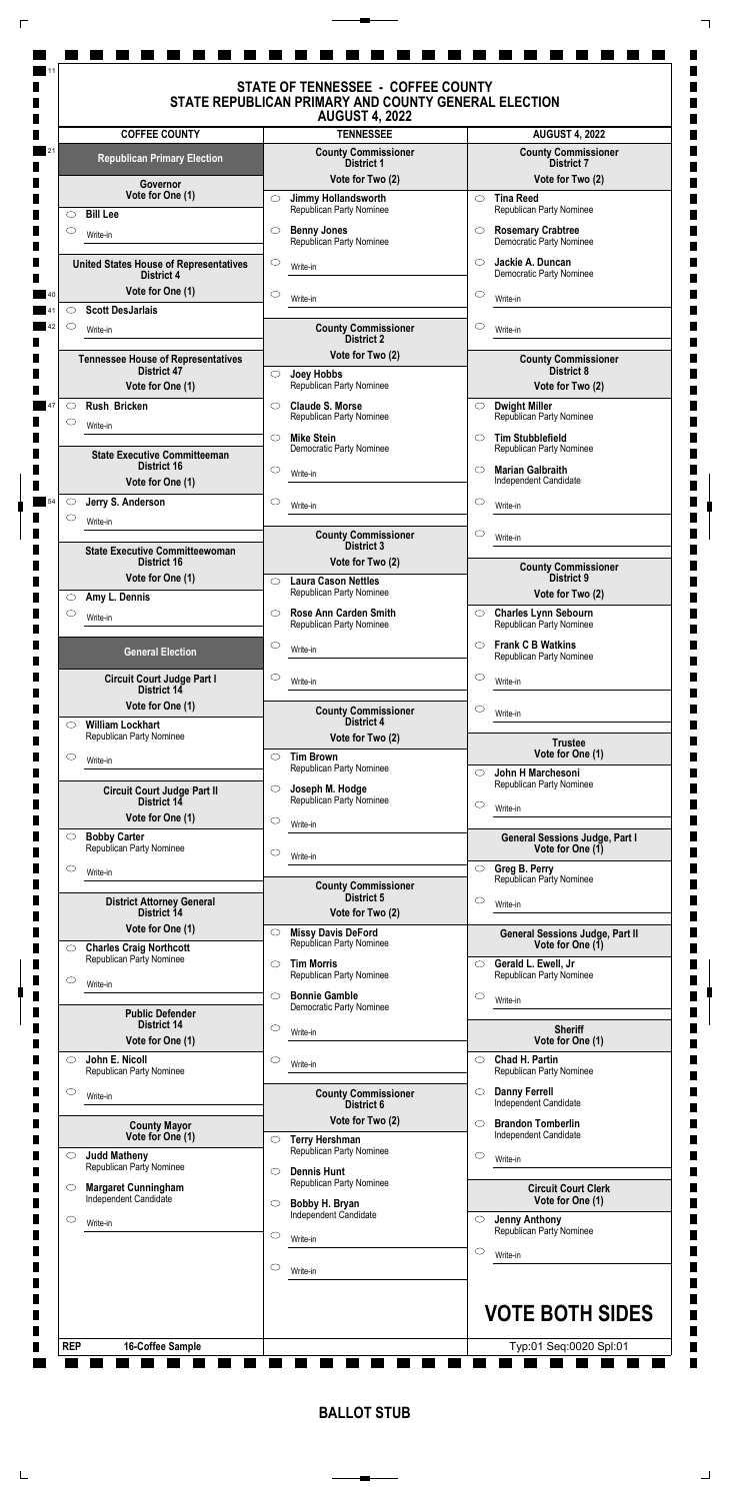

**BALLOT STUB**

 $\blacksquare$ 

|                                                                                                                               | <b>STATE OF TENNESSEE - COFFEE COUNTY</b><br>STATE REPUBLICAN PRIMARY AND COUNTY GENERAL ELECTION |                                                                                |
|-------------------------------------------------------------------------------------------------------------------------------|---------------------------------------------------------------------------------------------------|--------------------------------------------------------------------------------|
|                                                                                                                               | <b>AUGUST 4, 2022</b>                                                                             |                                                                                |
| <b>COFFEE COUNTY</b>                                                                                                          | <b>TENNESSEE</b>                                                                                  | <b>AUGUST 4, 2022</b>                                                          |
| <b>Republican Primary Election</b>                                                                                            | <b>County Commissioner</b><br><b>District 1</b>                                                   | <b>County Commissioner</b><br><b>District 7</b>                                |
| Governor<br>Vote for One (1)                                                                                                  | Vote for Two (2)                                                                                  | Vote for Two (2)                                                               |
| <b>Bill Lee</b><br>$\circ$                                                                                                    | Jimmy Hollandsworth<br>$\circlearrowright$<br>Republican Party Nominee                            | <b>Tina Reed</b><br>$\circ$<br>Republican Party Nominee                        |
| $\circlearrowright$<br>Write-in                                                                                               | <b>Benny Jones</b><br>$\circlearrowright$<br>Republican Party Nominee                             | <b>Rosemary Crabtree</b><br>$\circ$<br>Democratic Party Nominee                |
| <b>United States House of Representatives</b><br><b>District 4</b>                                                            | $\circ$<br>Write-in                                                                               | Jackie A. Duncan<br>$\circ$<br>Democratic Party Nominee                        |
| Vote for One (1)                                                                                                              | $\circ$<br>Write-in                                                                               | ◯<br>Write-in                                                                  |
| <b>Scott DesJarlais</b><br>O                                                                                                  |                                                                                                   |                                                                                |
| $\circ$<br>Write-in                                                                                                           | <b>County Commissioner</b><br><b>District 2</b>                                                   | C<br>Write-in                                                                  |
| <b>Tennessee House of Representatives</b><br>District 47                                                                      | Vote for Two (2)                                                                                  | <b>County Commissioner</b><br><b>District 8</b>                                |
| Vote for One (1)                                                                                                              | <b>Joey Hobbs</b><br>$\circlearrowright$<br>Republican Party Nominee                              | Vote for Two (2)                                                               |
| <b>Rush Bricken</b><br>$\circ$<br>O<br>Write-in                                                                               | <b>Claude S. Morse</b><br>$\circlearrowright$<br>Republican Party Nominee                         | <b>Dwight Miller</b><br>$\circ$<br>Republican Party Nominee                    |
|                                                                                                                               | <b>Mike Stein</b><br>$\circ$                                                                      | <b>Tim Stubblefield</b><br>$\circ$                                             |
| <b>State Executive Committeeman</b><br><b>District 16</b>                                                                     | Democratic Party Nominee<br>$\circ$<br>Write-in                                                   | Republican Party Nominee<br><b>Marian Galbraith</b><br>◯                       |
| Vote for One (1)                                                                                                              |                                                                                                   | Independent Candidate                                                          |
| Jerry S. Anderson<br>$\circlearrowright$<br>Write-in                                                                          | O<br>Write-in                                                                                     | C<br>Write-in                                                                  |
|                                                                                                                               | <b>County Commissioner</b>                                                                        | Write-in                                                                       |
| <b>State Executive Committeewoman</b>                                                                                         | <b>District 3</b>                                                                                 |                                                                                |
| <b>District 16</b><br>Vote for One (1)                                                                                        | Vote for Two (2)                                                                                  | <b>County Commissioner</b><br>District 9                                       |
| Amy L. Dennis<br>$\circlearrowright$                                                                                          | <b>Laura Cason Nettles</b><br>◯<br>Republican Party Nominee                                       | Vote for Two (2)                                                               |
| $\circ$<br>Write-in                                                                                                           | <b>Rose Ann Carden Smith</b><br>O<br>Republican Party Nominee                                     | <b>Charles Lynn Sebourn</b><br>$\circ$<br>Republican Party Nominee             |
| <b>General Election</b>                                                                                                       | $\circlearrowright$<br>Write-in                                                                   | <b>Frank C B Watkins</b><br>$\circlearrowright$<br>Republican Party Nominee    |
| <b>Circuit Court Judge Part I</b><br>District 14                                                                              | $\circ$<br>Write-in                                                                               | $\circ$<br>Write-in                                                            |
| Vote for One (1)                                                                                                              | <b>County Commissioner</b>                                                                        | C<br>Write-in                                                                  |
| <b>William Lockhart</b><br>$\circlearrowright$<br>Republican Party Nominee                                                    | <b>District 4</b><br>Vote for Two (2)                                                             |                                                                                |
|                                                                                                                               |                                                                                                   | <b>Trustee</b>                                                                 |
|                                                                                                                               |                                                                                                   | Vote for One (1)                                                               |
| Write-in                                                                                                                      | <b>Tim Brown</b><br>◯<br>Republican Party Nominee<br>$\circlearrowright$                          | John H Marchesoni<br>$\circ$<br>Republican Party Nominee                       |
| <b>Circuit Court Judge Part II</b><br>District 14<br>Vote for One (1)                                                         | Joseph M. Hodge<br>Republican Party Nominee<br>$\circlearrowright$                                | C<br>Write-in                                                                  |
| <b>Bobby Carter</b><br>Republican Party Nominee                                                                               | Write-in<br>$\circ$                                                                               | <b>General Sessions Judge, Part I</b><br>Vote for One (1)                      |
| Write-in                                                                                                                      | Write-in                                                                                          | Greg B. Perry<br>$\circ$                                                       |
|                                                                                                                               | <b>County Commissioner</b>                                                                        | Republican Party Nominee                                                       |
| <b>District Attorney General</b><br>District 14                                                                               | District 5<br>Vote for Two (2)                                                                    | C<br>Write-in                                                                  |
| Vote for One (1)                                                                                                              | <b>Missy Davis DeFord</b><br>$\circ$                                                              | <b>General Sessions Judge, Part II</b>                                         |
| $\circ$<br>$\circ$<br>$\circ$<br><b>Charles Craig Northcott</b><br>$\circ$<br>Republican Party Nominee<br>$\circ$<br>Write-in | Republican Party Nominee<br><b>Tim Morris</b><br>O<br>Republican Party Nominee                    | Vote for One (1)<br>Gerald L. Ewell, Jr<br>$\circ$<br>Republican Party Nominee |

٦

 $\mathsf{l}$ 

 $\Box$ 

 $\Gamma$ 

 $\mathrel{\sqsubseteq}$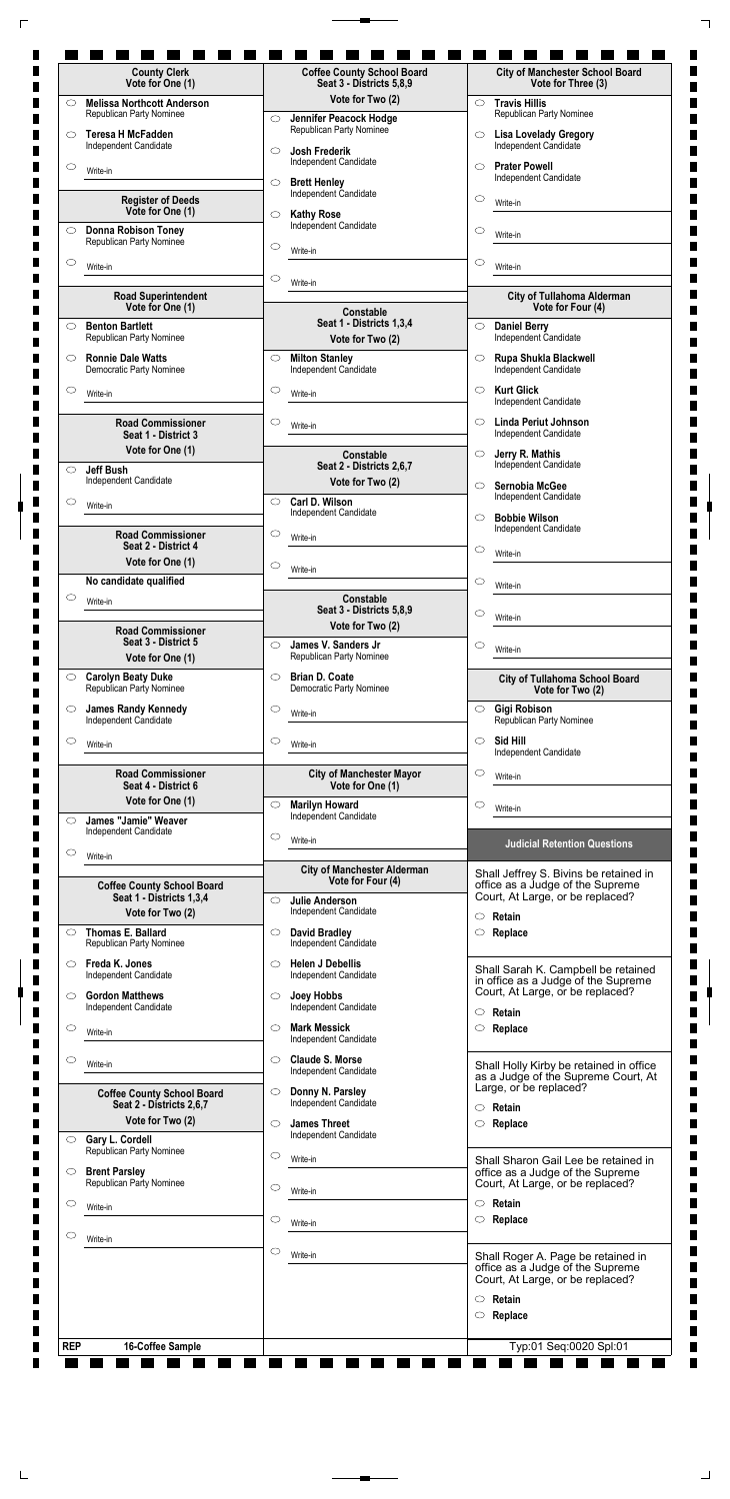| $\circ$<br>Write-in                                                                                                   | <b>Mark Messick</b><br>Independent Candidate                          | Retalli<br>Replace<br>$\circ$                                                                                |
|-----------------------------------------------------------------------------------------------------------------------|-----------------------------------------------------------------------|--------------------------------------------------------------------------------------------------------------|
| $\circ$<br>Write-in                                                                                                   | <b>Claude S. Morse</b><br>◯<br>Independent Candidate                  | Shall Holly Kirby be retained in office<br>as a Judge of the Supreme Court, At                               |
| <b>Coffee County School Board</b><br>Seat 2 - Districts 2,6,7<br>Vote for Two (2)                                     | Donny N. Parsley<br>◯<br>Independent Candidate<br><b>James Threet</b> | Large, or be replaced?<br>$\circ$<br>Retain<br>Replace<br>$\circ$                                            |
| Gary L. Cordell<br>$\circ$<br>Republican Party Nominee<br><b>Brent Parsley</b><br>$\circ$<br>Republican Party Nominee | Independent Candidate<br>◯<br>Write-in                                | Shall Sharon Gail Lee be retained in<br>office as a Judge of the Supreme<br>Court, At Large, or be replaced? |
| $\circ$<br>Write-in                                                                                                   | Write-in<br>O<br>Write-in                                             | Retain<br>$\circ$<br>Replace<br>$\circ$                                                                      |
| C<br>Write-in                                                                                                         | Write-in                                                              | Shall Roger A. Page be retained in<br>office as a Judge of the Supreme<br>Court, At Large, or be replaced?   |
| <b>REP</b><br>16-Coffee Sample                                                                                        |                                                                       | $\circ$<br>Retain<br>$\circ$<br>Replace<br>Typ:01 Seq:0020 Spl:01                                            |

| <b>County Clerk</b><br>Vote for One (1)                                       | <b>Coffee County School Board</b><br>Seat 3 - Districts 5,8,9         | <b>City of Manchester School Board</b><br>Vote for Three (3)                |
|-------------------------------------------------------------------------------|-----------------------------------------------------------------------|-----------------------------------------------------------------------------|
| <b>Melissa Northcott Anderson</b><br>$\circlearrowright$                      | Vote for Two (2)                                                      | <b>Travis Hillis</b><br>$\circlearrowright$<br>Republican Party Nominee     |
| Republican Party Nominee<br><b>Teresa H McFadden</b><br>O                     | Jennifer Peacock Hodge<br>$\circ$<br>Republican Party Nominee         | <b>Lisa Lovelady Gregory</b><br>$\circ$                                     |
| Independent Candidate<br>$\circlearrowright$                                  | <b>Josh Frederik</b><br>O<br>Independent Candidate                    | Independent Candidate<br><b>Prater Powell</b><br>$\circ$                    |
| Write-in                                                                      | <b>Brett Henley</b><br>$\circlearrowright$<br>Independent Candidate   | Independent Candidate                                                       |
| <b>Register of Deeds</b><br>Vote for One (1)                                  | <b>Kathy Rose</b><br>$\circlearrowright$                              | $\circ$<br>Write-in                                                         |
| <b>Donna Robison Toney</b><br>$\circlearrowright$<br>Republican Party Nominee | Independent Candidate<br>O                                            | C<br>Write-in                                                               |
| $\circlearrowright$<br>Write-in                                               | Write-in                                                              | Write-in                                                                    |
|                                                                               | O<br>Write-in                                                         |                                                                             |
| <b>Road Superintendent</b><br>Vote for One (1)                                | <b>Constable</b>                                                      | <b>City of Tullahoma Alderman</b><br>Vote for Four (4)                      |
| <b>Benton Bartlett</b><br>$\circ$<br>Republican Party Nominee                 | Seat 1 - Districts 1,3,4<br>Vote for Two (2)                          | <b>Daniel Berry</b><br>$\circ$<br>Independent Candidate                     |
| <b>Ronnie Dale Watts</b><br>O<br>Democratic Party Nominee                     | <b>Milton Stanley</b><br>$\circlearrowright$<br>Independent Candidate | Rupa Shukla Blackwell<br>$\circ$<br>Independent Candidate                   |
| $\circ$<br>Write-in                                                           | $\circ$<br>Write-in                                                   | <b>Kurt Glick</b><br>◯<br>Independent Candidate                             |
| <b>Road Commissioner</b><br>Seat 1 - District 3                               | O<br>Write-in                                                         | <b>Linda Periut Johnson</b><br>$\circlearrowright$<br>Independent Candidate |
| Vote for One (1)<br><b>Jeff Bush</b><br>$\circ$                               | <b>Constable</b><br>Seat 2 - Districts 2,6,7                          | Jerry R. Mathis<br>$\circ$<br>Independent Candidate                         |
| Independent Candidate                                                         | Vote for Two (2)                                                      | <b>Sernobia McGee</b><br>O<br>Independent Candidate                         |
| $\circlearrowright$<br>Write-in                                               | Carl D. Wilson<br>$\circ$<br>Independent Candidate                    | <b>Bobbie Wilson</b><br>$\circlearrowright$                                 |
| <b>Road Commissioner</b><br>Seat 2 - District 4                               | $\circ$<br>Write-in                                                   | Independent Candidate<br>C                                                  |
| Vote for One (1)                                                              | $\circlearrowright$<br>Write-in                                       | Write-in                                                                    |
| No candidate qualified                                                        |                                                                       | C<br>Write-in                                                               |
| $\circlearrowright$<br>Write-in                                               | <b>Constable</b><br>Seat 3 - Districts 5,8,9                          | $\circ$<br>Write-in                                                         |
| <b>Road Commissioner</b><br>Seat 3 - District 5                               | Vote for Two (2)<br>James V. Sanders Jr<br>$\circ$                    | O<br>Write-in                                                               |
| Vote for One (1)                                                              | Republican Party Nominee                                              |                                                                             |
| <b>Carolyn Beaty Duke</b><br>$\circ$<br>Republican Party Nominee              | <b>Brian D. Coate</b><br>◯<br>Democratic Party Nominee                | <b>City of Tullahoma School Board</b><br>Vote for Two (2)                   |
| <b>James Randy Kennedy</b><br>O<br>Independent Candidate                      | $\circ$<br>Write-in                                                   | <b>Gigi Robison</b><br>$\circ$<br>Republican Party Nominee                  |
| $\circlearrowright$<br>Write-in                                               | O<br>Write-in                                                         | Sid Hill<br>$\circ$<br>Independent Candidate                                |
| <b>Road Commissioner</b><br>Seat 4 - District 6                               | <b>City of Manchester Mayor</b><br>Vote for One (1)                   | $\circ$<br>Write-in                                                         |
| Vote for One (1)                                                              | <b>Marilyn Howard</b><br>$\circ$                                      | ⊂<br>Write-in                                                               |
| James "Jamie" Weaver<br>$\circ$<br>Independent Candidate                      | Independent Candidate<br>◯<br>Write-in                                |                                                                             |
| $\circ$<br>Write-in                                                           |                                                                       | <b>Judicial Retention Questions</b>                                         |
| <b>Coffee County School Board</b>                                             | <b>City of Manchester Alderman</b><br>Vote for Four (4)               | Shall Jeffrey S. Bivins be retained in<br>office as a Judge of the Supreme  |
| Seat 1 - Districts 1,3,4<br>Vote for Two (2)                                  | <b>Julie Anderson</b><br>◯<br>Independent Candidate                   | Court, At Large, or be replaced?<br>Retain<br>$\circlearrowright$           |
|                                                                               | <b>David Bradley</b><br>$\circ$                                       | Replace<br>$\circ$                                                          |
| Thomas E. Ballard<br>Republican Party Nominee                                 | Independent Candidate                                                 |                                                                             |
| $\circ$<br>Freda K. Jones<br>O<br>Independent Candidate                       | <b>Helen J Debellis</b><br>$\circ$<br>Independent Candidate           | Shall Sarah K. Campbell be retained<br>in office as a Judge of the Supreme  |

 $\mathbf{I}$ 

 $\Box$ 

 $\overline{\Gamma}$ 

 $\mathbf{I}$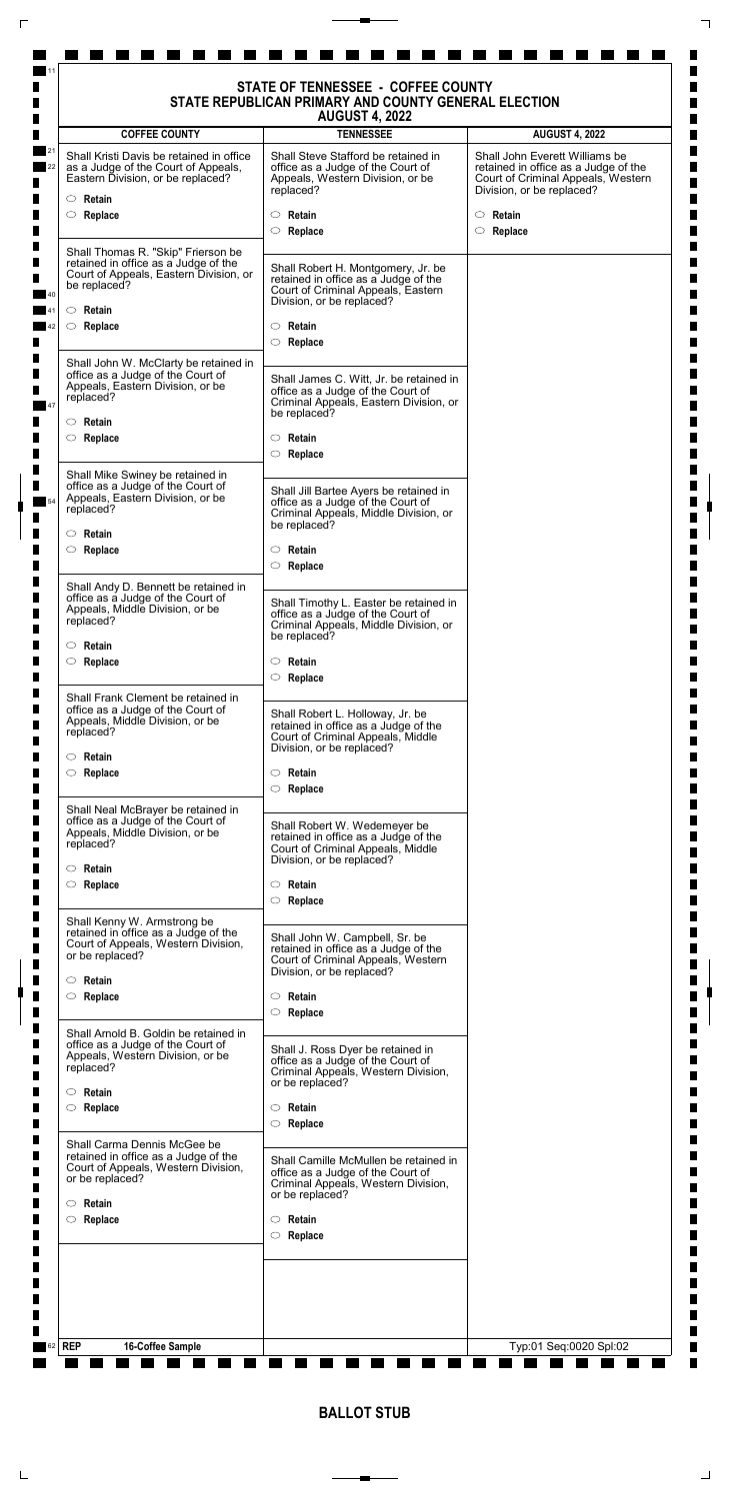**BALLOT STUB**

|    | <b>COFFEE COUNTY</b>                                                                                                                                      | STATE REPUBLICAN PRIMARY AND COUNTY GENERAL ELECTION<br><b>AUGUST 4, 2022</b><br><b>TENNESSEE</b>                                             | <b>AUGUST 4, 2022</b>                                                                                                                                          |
|----|-----------------------------------------------------------------------------------------------------------------------------------------------------------|-----------------------------------------------------------------------------------------------------------------------------------------------|----------------------------------------------------------------------------------------------------------------------------------------------------------------|
|    | Shall Kristi Davis be retained in office<br>as a Judge of the Court of Appeals,<br>Eastern Division, or be replaced?<br>$\circ$ Retain<br>$\circ$ Replace | Shall Steve Stafford be retained in<br>office as a Judge of the Court of<br>Appeals, Western Division, or be<br>replaced?<br>$\circ$ Retain   | Shall John Everett Williams be<br>retained in office as a Judge of the<br>Court of Criminal Appeals, Western<br>Division, or be replaced?<br>Retain<br>$\circ$ |
|    | Shall Thomas R. "Skip" Frierson be                                                                                                                        | Replace<br>$\circ$                                                                                                                            | Replace<br>O                                                                                                                                                   |
|    | retained in office as a Judge of the<br>Court of Appeals, Eastern Division, or<br>be replaced?                                                            | Shall Robert H. Montgomery, Jr. be<br>retained in office as a Judge of the<br>Court of Criminal Appeals, Eastern<br>Division, or be replaced? |                                                                                                                                                                |
|    | $\circ$ Retain<br>$\circ$ Replace                                                                                                                         | Retain<br>O<br>$\heartsuit$ Replace                                                                                                           |                                                                                                                                                                |
| 47 | Shall John W. McClarty be retained in<br>office as a Judge of the Court of<br>Appeals, Eastern Division, or be<br>replaced?                               | Shall James C. Witt, Jr. be retained in<br>office as a Judge of the Court of<br>Criminal Appeals, Eastern Division, or<br>be replaced?        |                                                                                                                                                                |
|    | $\circ$ Retain<br>$\circ$ Replace                                                                                                                         | $\circ$ Retain<br>$\circ$ Replace                                                                                                             |                                                                                                                                                                |
|    | Shall Mike Swiney be retained in<br>office as a Judge of the Court of<br>Appeals, Eastern Division, or be<br>replaced?                                    | Shall Jill Bartee Ayers be retained in<br>office as a Judge of the Court of<br>Criminal Appeals, Middle Division, or<br>be replaced?          |                                                                                                                                                                |
|    | $\circ$ Retain<br>$\circ$ Replace                                                                                                                         | <b>Retain</b><br>O.<br>$\circ$ Replace                                                                                                        |                                                                                                                                                                |
|    | Shall Andy D. Bennett be retained in<br>office as a Judge of the Court of<br>Appeals, Middle Division, or be<br>replaced?                                 | Shall Timothy L. Easter be retained in<br>office as a Judge of the Court of<br>Criminal Appeals, Middle Division, or<br>be replaced?          |                                                                                                                                                                |
|    | $\circ$ Retain<br>$\circ$ Replace                                                                                                                         | $\circ$ Retain<br>$\circ$ Replace                                                                                                             |                                                                                                                                                                |
|    | Shall Frank Clement be retained in<br>office as a Judge of the Court of<br>Appeals, Middle Division, or be<br>replaced?                                   | Shall Robert L. Holloway, Jr. be<br>retained in office as a Judge of the<br>Court of Criminal Appeals, Middle<br>Division, or be replaced?    |                                                                                                                                                                |
|    | $\circ$ Retain<br>$\circ$ Replace                                                                                                                         | $\circ$ Retain<br>$\heartsuit$ Replace                                                                                                        |                                                                                                                                                                |
|    | Shall Neal McBrayer be retained in<br>office as a Judge of the Court of<br>Appeals, Middle Division, or be<br>replaced?                                   | Shall Robert W. Wedemeyer be<br>retained in office as a Judge of the<br>Court of Criminal Appeals, Middle<br>Division, or be replaced?        |                                                                                                                                                                |
|    | $\circ$ Retain<br>$\circ$ Replace                                                                                                                         | $\circ$ Retain<br>$\heartsuit$ Replace                                                                                                        |                                                                                                                                                                |
|    | Shall Kenny W. Armstrong be<br>retained in office as a Judge of the<br>Court of Appeals, Western Division,<br>or be replaced?                             | Shall John W. Campbell, Sr. be<br>retained in office as a Judge of the<br>Court of Criminal Appeals, Western<br>Division, or be replaced?     |                                                                                                                                                                |
|    | Retain<br>$\circ$<br>$\circ$ Replace                                                                                                                      | Retain<br>$\circ$<br>$\heartsuit$ Replace                                                                                                     |                                                                                                                                                                |
|    | Shall Arnold B. Goldin be retained in<br>office as a Judge of the Court of<br>Appeals, Western Division, or be<br>replaced?<br>$\circ$ Retain             | Shall J. Ross Dyer be retained in<br>office as a Judge of the Court of<br>Criminal Appeals, Western Division,<br>or be replaced?              |                                                                                                                                                                |
|    | $\circ$ Replace                                                                                                                                           | <b>Retain</b><br>O.<br>$\heartsuit$ Replace                                                                                                   |                                                                                                                                                                |
|    | Shall Carma Dennis McGee be<br>retained in office as a Judge of the<br>Court of Appeals, Western Division,<br>or be replaced?                             | Shall Camille McMullen be retained in<br>office as a Judge of the Court of<br>Criminal Appeals, Western Division,<br>or be replaced?          |                                                                                                                                                                |
|    | $\circ$ Retain<br>$\circ$ Replace                                                                                                                         | Retain<br>$\circ$<br>$\circ$ Replace                                                                                                          |                                                                                                                                                                |
|    |                                                                                                                                                           |                                                                                                                                               |                                                                                                                                                                |

 $\mathbf{I}$ 

 $\overline{\mathsf{L}}$ 

┑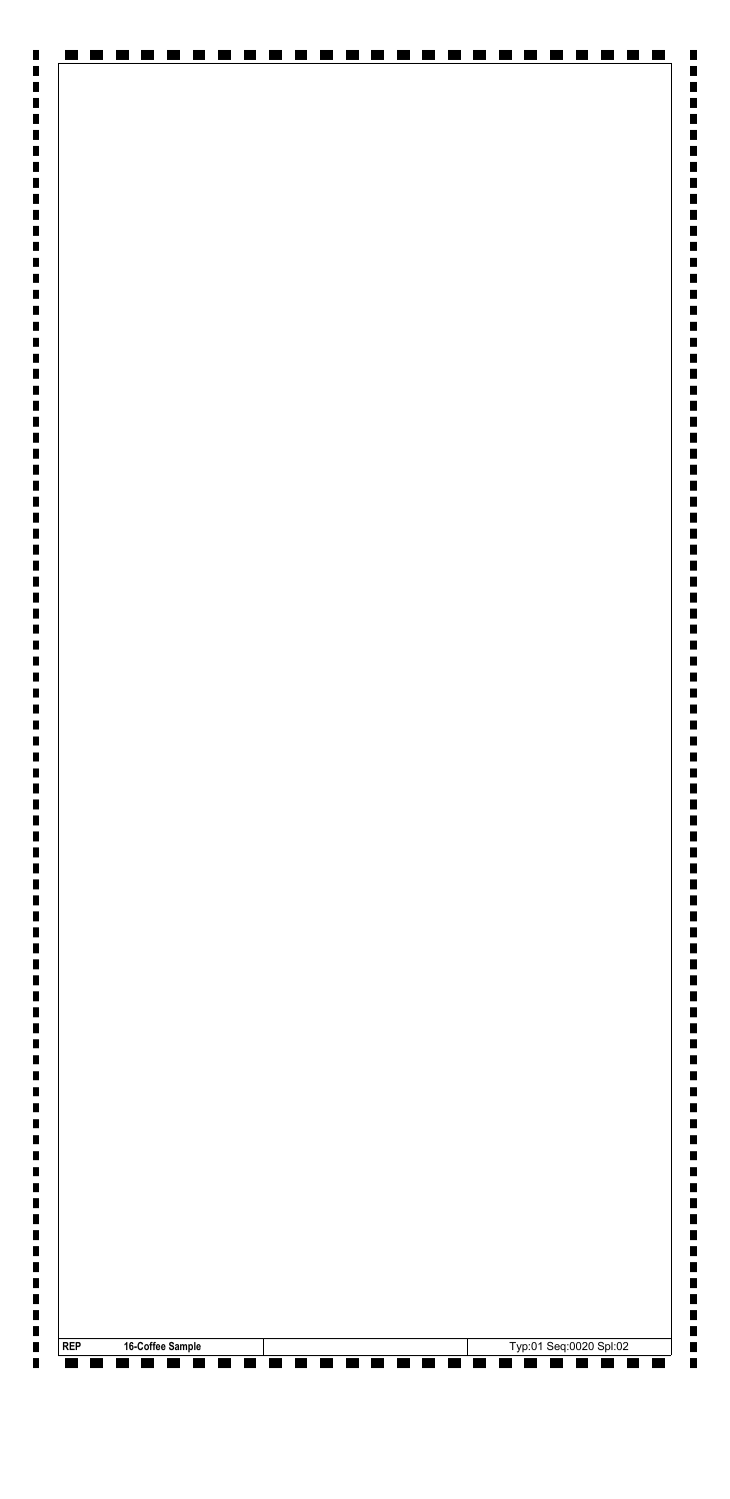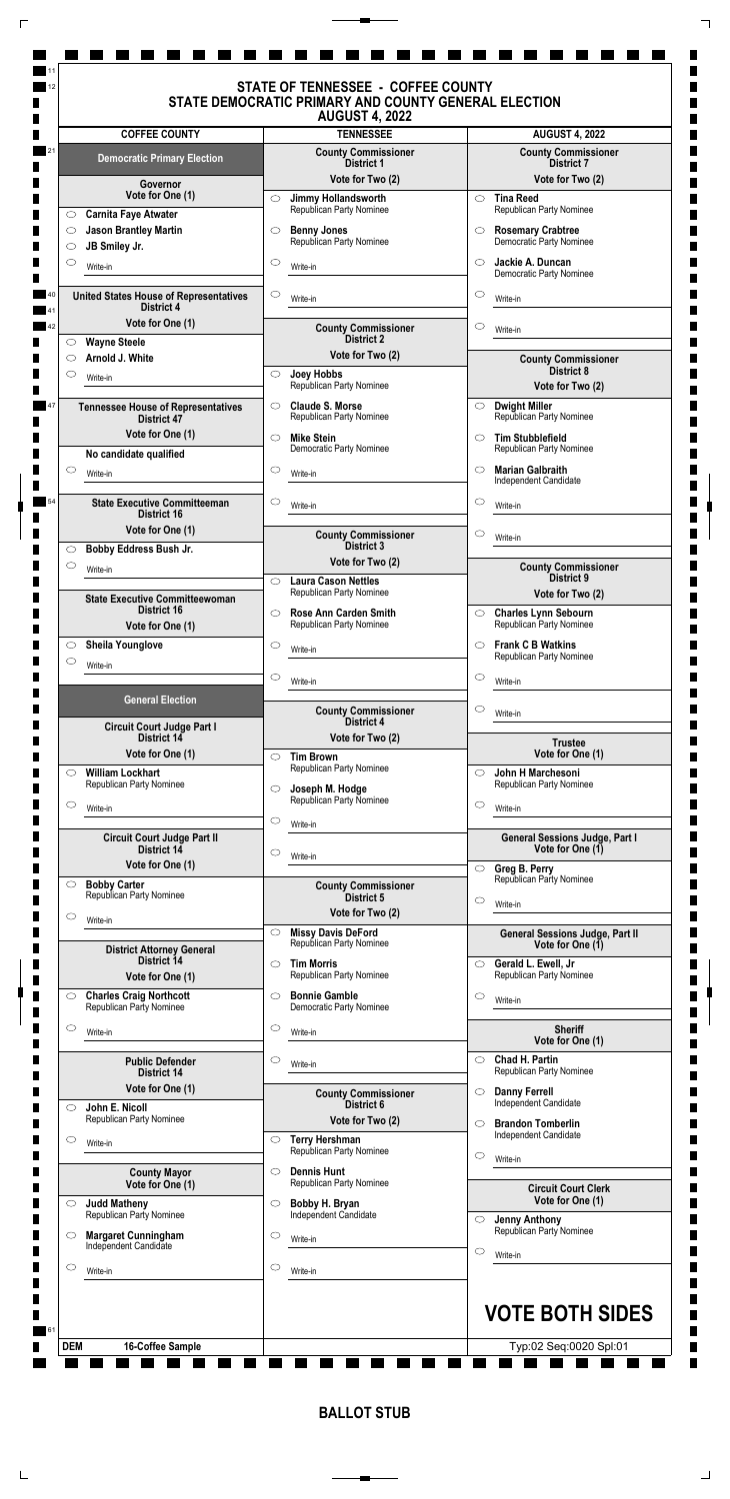

**BALLOT STUB**

 $\blacksquare$ 

|                                                                                 | STATE DEMOCRATIC PRIMARY AND COUNTY GENERAL ELECTION                      |                                                                    |
|---------------------------------------------------------------------------------|---------------------------------------------------------------------------|--------------------------------------------------------------------|
| <b>COFFEE COUNTY</b>                                                            | <b>AUGUST 4, 2022</b><br><b>TENNESSEE</b>                                 |                                                                    |
|                                                                                 | <b>County Commissioner</b>                                                | <b>AUGUST 4, 2022</b><br><b>County Commissioner</b>                |
| <b>Democratic Primary Election</b>                                              | <b>District 1</b><br>Vote for Two (2)                                     | <b>District 7</b><br>Vote for Two (2)                              |
| Governor<br>Vote for One (1)                                                    | <b>Jimmy Hollandsworth</b><br>$\circlearrowright$                         | <b>Tina Reed</b><br>$\circ$                                        |
| <b>Carnita Faye Atwater</b><br>$\circlearrowright$                              | Republican Party Nominee                                                  | Republican Party Nominee                                           |
| <b>Jason Brantley Martin</b><br>$\circlearrowright$<br>JB Smiley Jr.<br>$\circ$ | <b>Benny Jones</b><br>O<br>Republican Party Nominee                       | <b>Rosemary Crabtree</b><br>$\circ$<br>Democratic Party Nominee    |
| $\circlearrowright$<br>Write-in                                                 | $\circ$<br>Write-in                                                       | Jackie A. Duncan<br>◯<br>Democratic Party Nominee                  |
| <b>United States House of Representatives</b><br><b>District 4</b>              | $\circ$<br>Write-in                                                       | $\circlearrowright$<br>Write-in                                    |
| Vote for One (1)                                                                | <b>County Commissioner</b>                                                | C<br>Write-in                                                      |
| <b>Wayne Steele</b><br>$\circlearrowright$                                      | <b>District 2</b>                                                         |                                                                    |
| Arnold J. White<br>$\circlearrowright$                                          | Vote for Two (2)                                                          | <b>County Commissioner</b>                                         |
| $\circlearrowright$<br>Write-in                                                 | <b>Joey Hobbs</b><br>$\circ$<br>Republican Party Nominee                  | <b>District 8</b><br>Vote for Two (2)                              |
| <b>Tennessee House of Representatives</b><br><b>District 47</b>                 | <b>Claude S. Morse</b><br>$\circlearrowright$<br>Republican Party Nominee | <b>Dwight Miller</b><br>$\circ$<br>Republican Party Nominee        |
| Vote for One (1)                                                                | <b>Mike Stein</b><br>$\circlearrowright$                                  | <b>Tim Stubblefield</b><br>$\circ$                                 |
| No candidate qualified                                                          | Democratic Party Nominee                                                  | Republican Party Nominee                                           |
| $\circlearrowright$<br>Write-in                                                 | $\circlearrowright$<br>Write-in                                           | <b>Marian Galbraith</b><br>$\circ$<br>Independent Candidate        |
| <b>State Executive Committeeman</b><br><b>District 16</b>                       | $\circ$<br>Write-in                                                       | C<br>Write-in                                                      |
| Vote for One (1)                                                                | <b>County Commissioner</b>                                                | Write-in                                                           |
| Bobby Eddress Bush Jr.<br>$\circlearrowright$                                   | <b>District 3</b><br>Vote for Two (2)                                     |                                                                    |
| $\circ$<br>Write-in                                                             | <b>Laura Cason Nettles</b><br>$\circ$<br>Republican Party Nominee         | <b>County Commissioner</b><br><b>District 9</b>                    |
| <b>State Executive Committeewoman</b><br><b>District 16</b>                     |                                                                           | Vote for Two (2)                                                   |
| Vote for One (1)                                                                | <b>Rose Ann Carden Smith</b><br>$\circ$<br>Republican Party Nominee       | <b>Charles Lynn Sebourn</b><br>$\circ$<br>Republican Party Nominee |
| <b>Sheila Younglove</b><br>$\circ$                                              | O<br>Write-in                                                             | <b>Frank C B Watkins</b><br>O                                      |
| $\circ$<br>Write-in                                                             | O<br>Write-in                                                             | Republican Party Nominee<br>$\circlearrowright$<br>Write-in        |
| <b>General Election</b>                                                         |                                                                           |                                                                    |
| <b>Circuit Court Judge Part I</b>                                               | <b>County Commissioner</b><br><b>District 4</b>                           | C<br>Write-in                                                      |
| District 14                                                                     | Vote for Two (2)                                                          | <b>Trustee</b>                                                     |
| Vote for One (1)                                                                | <b>Tim Brown</b><br>$\circ$<br>Republican Party Nominee                   | Vote for One (1)                                                   |
| <b>William Lockhart</b><br>$\circlearrowright$<br>Republican Party Nominee      | Joseph M. Hodge<br>$\circ$                                                | John H Marchesoni<br>$\circ$<br>Republican Party Nominee           |
| $\circ$<br>Write-in                                                             | Republican Party Nominee                                                  | $\circ$<br>Write-in                                                |
| <b>Circuit Court Judge Part II</b>                                              | $\circ$<br>Write-in                                                       | <b>General Sessions Judge, Part I</b>                              |
| District 14<br>Vote for One (1)                                                 | $\circ$<br>Write-in                                                       | Vote for One (1)                                                   |
| <b>Bobby Carter</b><br>$\circlearrowright$                                      |                                                                           | $\circ$<br>Greg B. Perry<br>Republican Party Nominee               |
| Republican Party Nominee                                                        | <b>County Commissioner</b><br><b>District 5</b>                           | C                                                                  |
| $\circlearrowright$<br>Write-in                                                 | Vote for Two (2)                                                          | Write-in                                                           |
|                                                                                 | <b>Missy Davis DeFord</b><br>$\circlearrowright$                          | <b>General Sessions Judge, Part II</b>                             |
|                                                                                 |                                                                           |                                                                    |
| <b>District Attorney General</b><br>District 14                                 | Republican Party Nominee<br><b>Tim Morris</b><br>$\circlearrowright$      | Vote for One (1)<br>Gerald L. Ewell, Jr<br>$\circ$                 |

٦

 $\mathsf{l}$ 

 $\Box$ 

 $\Gamma$ 

 $\overline{\phantom{a}}$ 

 $\mathrel{\sqsubseteq}$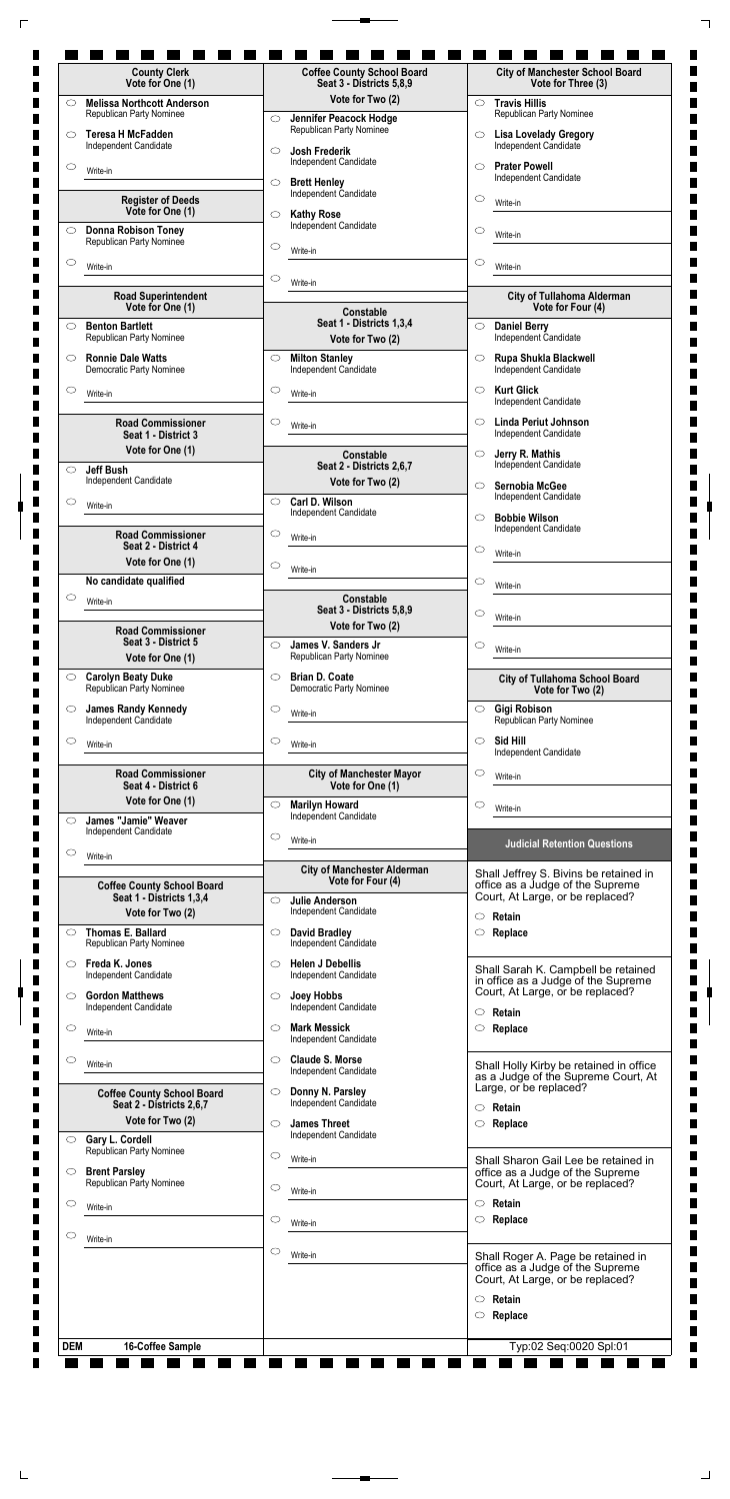| $\circ$<br>Write-in                                                                                                   | <b>Mark Messick</b><br>Independent Candidate                          | Retalli<br>Replace<br>$\circ$                                                                                |
|-----------------------------------------------------------------------------------------------------------------------|-----------------------------------------------------------------------|--------------------------------------------------------------------------------------------------------------|
| $\circ$<br>Write-in                                                                                                   | <b>Claude S. Morse</b><br>◯<br>Independent Candidate                  | Shall Holly Kirby be retained in office<br>as a Judge of the Supreme Court, At                               |
| <b>Coffee County School Board</b><br>Seat 2 - Districts 2,6,7<br>Vote for Two (2)                                     | Donny N. Parsley<br>◯<br>Independent Candidate<br><b>James Threet</b> | Large, or be replaced?<br>Retain<br>$\circ$<br>Replace<br>$\circ$                                            |
| Gary L. Cordell<br>$\circ$<br>Republican Party Nominee<br><b>Brent Parsley</b><br>$\circ$<br>Republican Party Nominee | Independent Candidate<br>◯<br>Write-in                                | Shall Sharon Gail Lee be retained in<br>office as a Judge of the Supreme<br>Court, At Large, or be replaced? |
| $\circ$<br>Write-in                                                                                                   | Write-in<br>O<br>Write-in                                             | Retain<br>$\circ$<br>Replace<br>$\circ$                                                                      |
| C<br>Write-in                                                                                                         | Write-in                                                              | Shall Roger A. Page be retained in<br>office as a Judge of the Supreme<br>Court, At Large, or be replaced?   |
| <b>DEM</b><br>16-Coffee Sample                                                                                        |                                                                       | $\circ$<br>Retain<br>$\circ$<br>Replace<br>Typ:02 Seq:0020 Spl:01                                            |

| <b>County Clerk</b><br>Vote for One (1)                                       | <b>Coffee County School Board</b><br>Seat 3 - Districts 5,8,9         | <b>City of Manchester School Board</b><br>Vote for Three (3)                |
|-------------------------------------------------------------------------------|-----------------------------------------------------------------------|-----------------------------------------------------------------------------|
| <b>Melissa Northcott Anderson</b><br>$\circlearrowright$                      | Vote for Two (2)                                                      | <b>Travis Hillis</b><br>$\circlearrowright$<br>Republican Party Nominee     |
| Republican Party Nominee<br><b>Teresa H McFadden</b><br>O                     | Jennifer Peacock Hodge<br>$\circ$<br>Republican Party Nominee         | <b>Lisa Lovelady Gregory</b><br>$\circ$                                     |
| Independent Candidate<br>$\circlearrowright$                                  | <b>Josh Frederik</b><br>O<br>Independent Candidate                    | Independent Candidate<br><b>Prater Powell</b><br>$\circ$                    |
| Write-in                                                                      | <b>Brett Henley</b><br>$\circlearrowright$<br>Independent Candidate   | Independent Candidate                                                       |
| <b>Register of Deeds</b><br>Vote for One (1)                                  | <b>Kathy Rose</b><br>$\circlearrowright$                              | $\circ$<br>Write-in                                                         |
| <b>Donna Robison Toney</b><br>$\circlearrowright$<br>Republican Party Nominee | Independent Candidate<br>O                                            | C<br>Write-in                                                               |
| $\circlearrowright$<br>Write-in                                               | Write-in                                                              | Write-in                                                                    |
|                                                                               | O<br>Write-in                                                         |                                                                             |
| <b>Road Superintendent</b><br>Vote for One (1)                                | <b>Constable</b>                                                      | <b>City of Tullahoma Alderman</b><br>Vote for Four (4)                      |
| <b>Benton Bartlett</b><br>$\circ$<br>Republican Party Nominee                 | Seat 1 - Districts 1,3,4<br>Vote for Two (2)                          | <b>Daniel Berry</b><br>$\circ$<br>Independent Candidate                     |
| <b>Ronnie Dale Watts</b><br>O<br>Democratic Party Nominee                     | <b>Milton Stanley</b><br>$\circlearrowright$<br>Independent Candidate | Rupa Shukla Blackwell<br>$\circ$<br>Independent Candidate                   |
| $\circ$<br>Write-in                                                           | $\circ$<br>Write-in                                                   | <b>Kurt Glick</b><br>◯<br>Independent Candidate                             |
| <b>Road Commissioner</b><br>Seat 1 - District 3                               | O<br>Write-in                                                         | <b>Linda Periut Johnson</b><br>$\circlearrowright$<br>Independent Candidate |
| Vote for One (1)<br><b>Jeff Bush</b><br>$\circ$                               | <b>Constable</b><br>Seat 2 - Districts 2,6,7                          | Jerry R. Mathis<br>$\circ$<br>Independent Candidate                         |
| Independent Candidate                                                         | Vote for Two (2)                                                      | <b>Sernobia McGee</b><br>O<br>Independent Candidate                         |
| $\circ$<br>Write-in                                                           | Carl D. Wilson<br>$\circ$<br>Independent Candidate                    | <b>Bobbie Wilson</b><br>$\circlearrowright$                                 |
| <b>Road Commissioner</b><br>Seat 2 - District 4                               | $\circ$<br>Write-in                                                   | Independent Candidate<br>C                                                  |
| Vote for One (1)                                                              | $\circlearrowright$<br>Write-in                                       | Write-in                                                                    |
| No candidate qualified                                                        |                                                                       | C<br>Write-in                                                               |
| $\circlearrowright$<br>Write-in                                               | <b>Constable</b><br>Seat 3 - Districts 5,8,9                          | $\circ$<br>Write-in                                                         |
| <b>Road Commissioner</b><br>Seat 3 - District 5                               | Vote for Two (2)<br>James V. Sanders Jr<br>$\circ$                    | O<br>Write-in                                                               |
| Vote for One (1)                                                              | Republican Party Nominee                                              |                                                                             |
| <b>Carolyn Beaty Duke</b><br>$\circ$<br>Republican Party Nominee              | <b>Brian D. Coate</b><br>◯<br>Democratic Party Nominee                | <b>City of Tullahoma School Board</b><br>Vote for Two (2)                   |
| <b>James Randy Kennedy</b><br>O<br>Independent Candidate                      | $\circ$<br>Write-in                                                   | <b>Gigi Robison</b><br>$\circ$<br>Republican Party Nominee                  |
| $\circlearrowright$<br>Write-in                                               | O<br>Write-in                                                         | Sid Hill<br>$\circ$<br>Independent Candidate                                |
| <b>Road Commissioner</b><br>Seat 4 - District 6                               | <b>City of Manchester Mayor</b><br>Vote for One (1)                   | O<br>Write-in                                                               |
| Vote for One (1)                                                              | <b>Marilyn Howard</b><br>$\circ$                                      | ⊂<br>Write-in                                                               |
| James "Jamie" Weaver<br>$\circlearrowright$<br>Independent Candidate          | Independent Candidate<br>◯<br>Write-in                                |                                                                             |
| $\circ$<br>Write-in                                                           |                                                                       | <b>Judicial Retention Questions</b>                                         |
| <b>Coffee County School Board</b>                                             | <b>City of Manchester Alderman</b><br>Vote for Four (4)               | Shall Jeffrey S. Bivins be retained in<br>office as a Judge of the Supreme  |
| Seat 1 - Districts 1,3,4<br>Vote for Two (2)                                  | <b>Julie Anderson</b><br>◯<br>Independent Candidate                   | Court, At Large, or be replaced?<br>Retain<br>$\circlearrowright$           |
|                                                                               | <b>David Bradley</b><br>$\circ$                                       | Replace<br>$\circ$                                                          |
| Thomas E. Ballard<br>Republican Party Nominee                                 | Independent Candidate                                                 |                                                                             |
| $\circ$<br>Freda K. Jones<br>O<br>Independent Candidate                       | <b>Helen J Debellis</b><br>$\circ$<br>Independent Candidate           | Shall Sarah K. Campbell be retained<br>in office as a Judge of the Supreme  |

 $\mathbf{I}$ 

 $\Box$ 

 $\overline{\Gamma}$ 

 $\mathbf{I}$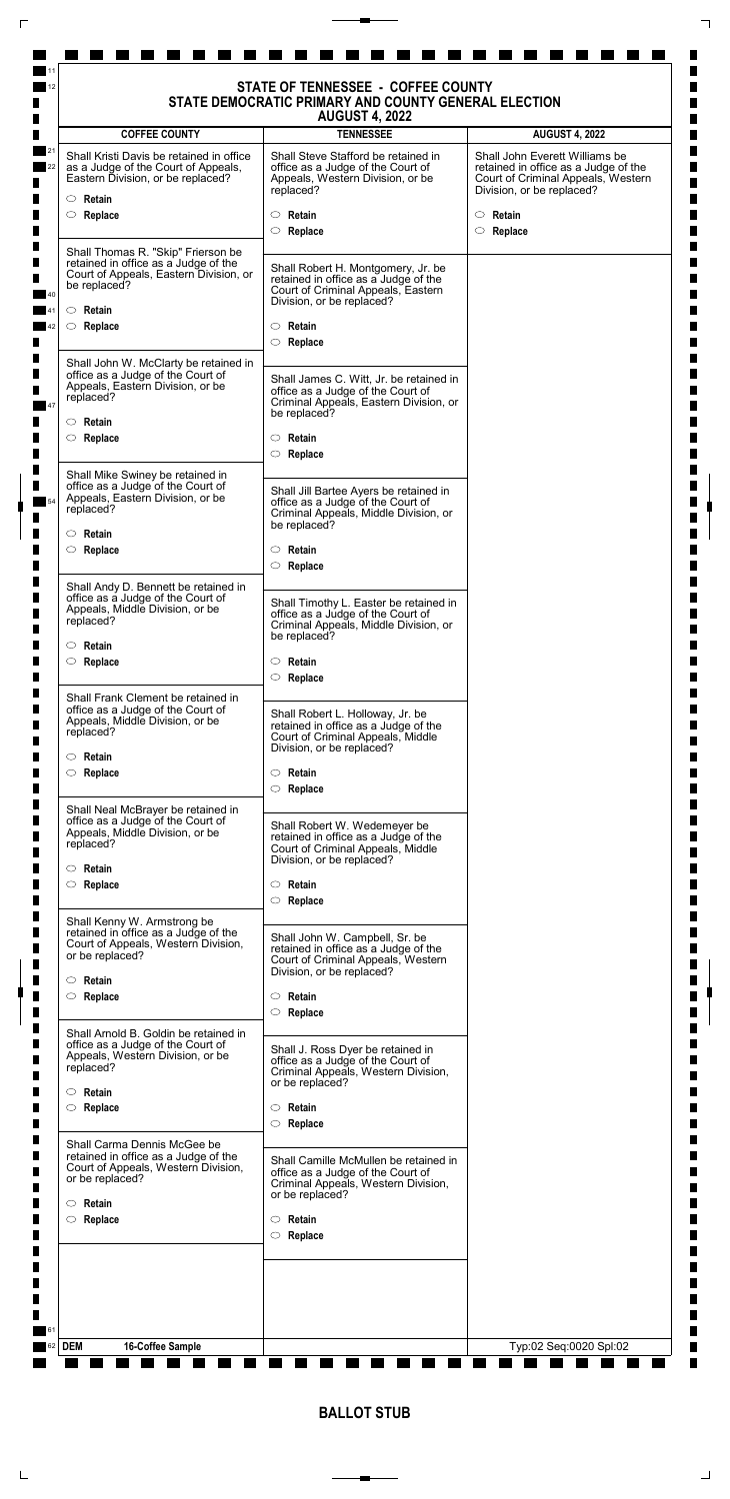**BALLOT STUB**

| <b>COFFEE COUNTY</b>                                                                                                                                                      | STATE DEMOCRATIC PRIMARY AND COUNTY GENERAL ELECTION<br><b>AUGUST 4, 2022</b><br><b>TENNESSEE</b>                                                                                     | <b>AUGUST 4, 2022</b>                                                                                                                     |
|---------------------------------------------------------------------------------------------------------------------------------------------------------------------------|---------------------------------------------------------------------------------------------------------------------------------------------------------------------------------------|-------------------------------------------------------------------------------------------------------------------------------------------|
| Shall Kristi Davis be retained in office<br>as a Judge of the Court of Appeals,<br>Eastern Division, or be replaced?                                                      | Shall Steve Stafford be retained in<br>office as a Judge of the Court of<br>Appeals, Western Division, or be<br>replaced?                                                             | Shall John Everett Williams be<br>retained in office as a Judge of the<br>Court of Criminal Appeals, Western<br>Division, or be replaced? |
| $\circ$ Retain<br>$\circ$ Replace                                                                                                                                         | Retain<br>O<br>Replace<br>$\circ$                                                                                                                                                     | Retain<br>$\circ$<br>$\circ$ Replace                                                                                                      |
| Shall Thomas R. "Skip" Frierson be<br>retained in office as a Judge of the<br>Court of Appeals, Eastern Division, or<br>be replaced?<br>$\circ$ Retain<br>$\circ$ Replace | Shall Robert H. Montgomery, Jr. be<br>retained in office as a Judge of the<br>Court of Criminal Appeals, Eastern<br>Division, or be replaced?<br>Retain<br>Õ.<br>$\heartsuit$ Replace |                                                                                                                                           |
| Shall John W. McClarty be retained in<br>office as a Judge of the Court of<br>Appeals, Eastern Division, or be<br>replaced?<br>$\circ$ Retain                             | Shall James C. Witt, Jr. be retained in<br>office as a Judge of the Court of<br>Criminal Appeals, Eastern Division, or<br>be replaced?                                                |                                                                                                                                           |
| $\circ$ Replace                                                                                                                                                           | Retain<br>O<br>$\heartsuit$ Replace                                                                                                                                                   |                                                                                                                                           |
| Shall Mike Swiney be retained in<br>office as a Judge of the Court of<br>Appeals, Eastern Division, or be<br>replaced?<br>Retain                                          | Shall Jill Bartee Ayers be retained in<br>office as a Judge of the Court of<br>Criminal Appeals, Middle Division, or<br>be replaced?                                                  |                                                                                                                                           |
| $\circ$ Replace                                                                                                                                                           | $\circ$ Retain<br>$\heartsuit$ Replace                                                                                                                                                |                                                                                                                                           |
| Shall Andy D. Bennett be retained in<br>office as a Judge of the Court of<br>Appeals, Middle Division, or be<br>replaced?<br>$\circ$ Retain                               | Shall Timothy L. Easter be retained in<br>office as a Judge of the Court of<br>Criminal Appeals, Middle Division, or<br>be replaced?                                                  |                                                                                                                                           |
| $\circ$ Replace                                                                                                                                                           | $\circ$ Retain<br>$\heartsuit$ Replace                                                                                                                                                |                                                                                                                                           |
| Shall Frank Clement be retained in<br>office as a Judge of the Court of<br>Appeals, Middle Division, or be<br>replaced?<br>$\circ$ Retain                                 | Shall Robert L. Holloway, Jr. be<br>retained in office as a Judge of the<br>Court of Criminal Appeals, Middle<br>Division, or be replaced?                                            |                                                                                                                                           |
| $\heartsuit$ Replace                                                                                                                                                      | Retain<br>O<br>$\circ$<br>Replace                                                                                                                                                     |                                                                                                                                           |
| Shall Neal McBrayer be retained in<br>office as a Judge of the Court of<br>Appeals, Middle Division, or be<br>replaced?<br>$\circ$ Retain                                 | Shall Robert W. Wedemeyer be<br>retained in office as a Judge of the<br>Court of Criminal Appeals, Middle<br>Division, or be replaced?                                                |                                                                                                                                           |
| $\circ$ Replace                                                                                                                                                           | Retain<br>O<br>$\circ$ Replace                                                                                                                                                        |                                                                                                                                           |
| Shall Kenny W. Armstrong be<br>retained in office as a Judge of the<br>Court of Appeals, Western Division,<br>or be replaced?<br>$\circ$ Retain                           | Shall John W. Campbell, Sr. be<br>retained in office as a Judge of the<br>Court of Criminal Appeals, Western<br>Division, or be replaced?                                             |                                                                                                                                           |
| $\circ$ Replace                                                                                                                                                           | Retain<br>O<br>$\heartsuit$ Replace                                                                                                                                                   |                                                                                                                                           |
| Shall Arnold B. Goldin be retained in<br>office as a Judge of the Court of<br>Appeals, Western Division, or be<br>replaced?<br>$\circ$ Retain                             | Shall J. Ross Dyer be retained in<br>office as a Judge of the Court of<br>Criminal Appeals, Western Division,<br>or be replaced?                                                      |                                                                                                                                           |
| $\heartsuit$ Replace                                                                                                                                                      | Retain<br>O<br>Replace<br>$\circ$                                                                                                                                                     |                                                                                                                                           |
| Shall Carma Dennis McGee be<br>retained in office as a Judge of the<br>Court of Appeals, Western Division,<br>or be replaced?                                             | Shall Camille McMullen be retained in<br>office as a Judge of the Court of<br>Criminal Appeals, Western Division,<br>or be replaced?                                                  |                                                                                                                                           |
| $\circ$ Retain<br>$\circ$ Replace                                                                                                                                         | Retain<br>O<br>Replace<br>$\circ$                                                                                                                                                     |                                                                                                                                           |
|                                                                                                                                                                           |                                                                                                                                                                                       |                                                                                                                                           |

 $\bot$ 

 $\overline{\Gamma}$ 

 $\mathbf{I}$ 

 $\overline{\mathsf{L}}$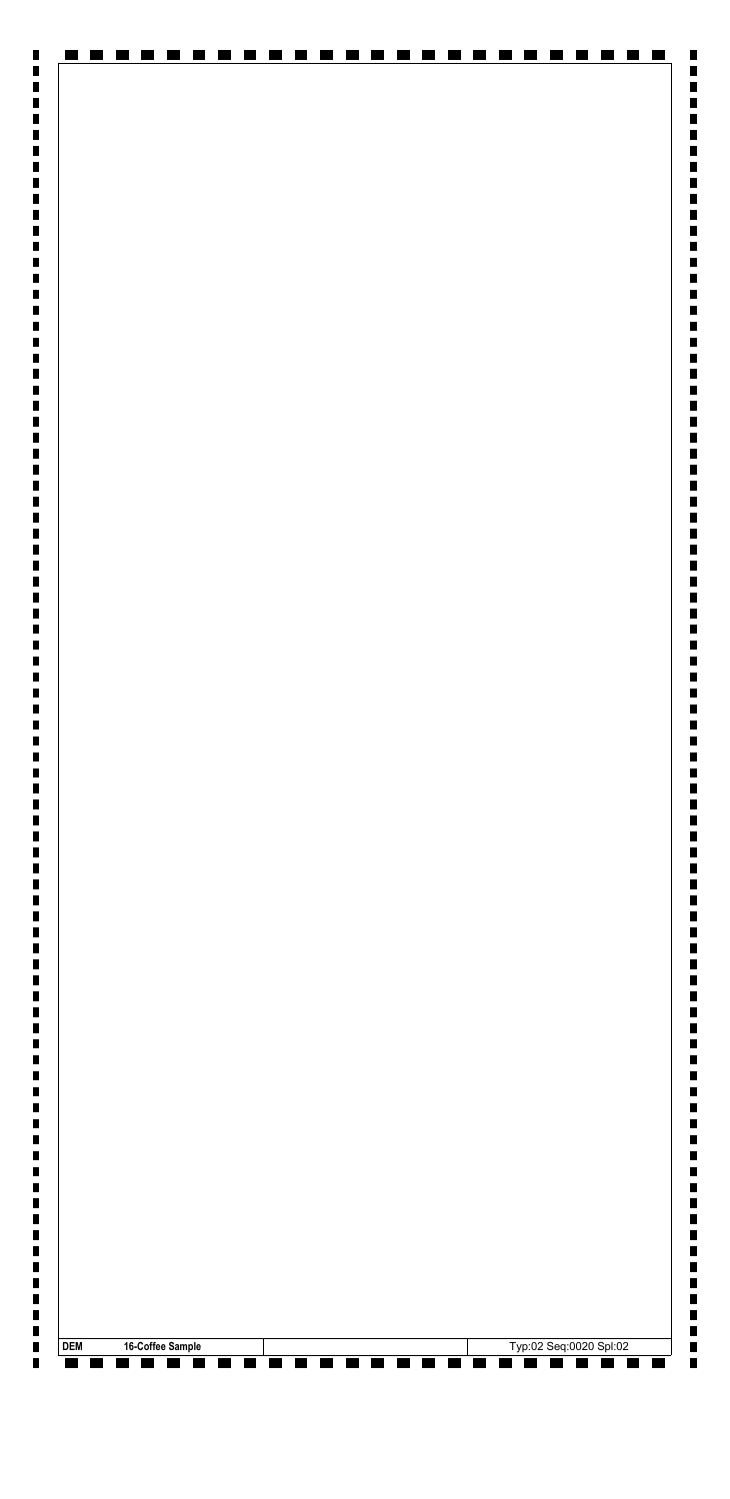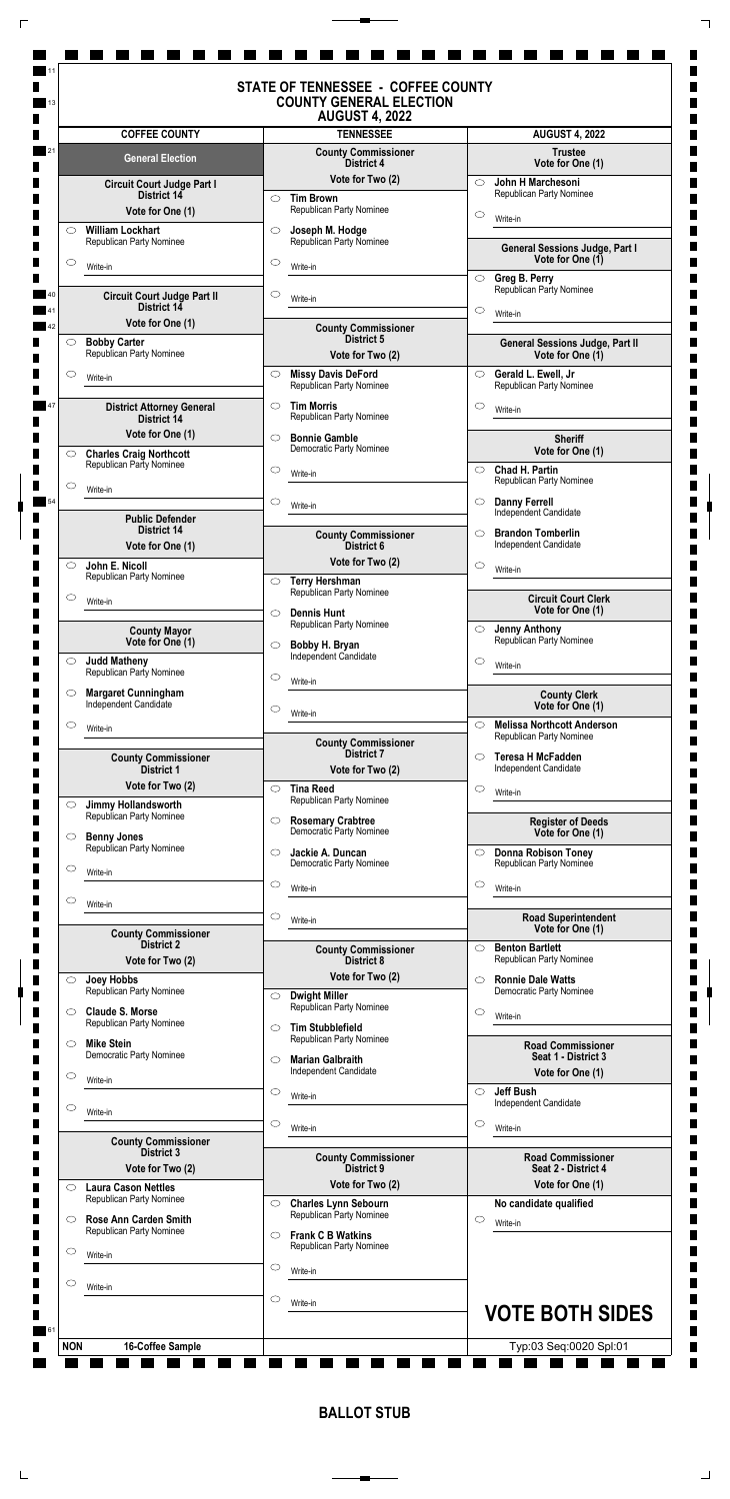**BALLOT STUB**

| 13                                                                  | <b>STATE OF TENNESSEE - COFFEE COUNTY</b><br><b>COUNTY GENERAL ELECTION</b><br><b>AUGUST 4, 2022</b> |                                                                  |
|---------------------------------------------------------------------|------------------------------------------------------------------------------------------------------|------------------------------------------------------------------|
| <b>COFFEE COUNTY</b>                                                | <b>TENNESSEE</b><br><b>County Commissioner</b>                                                       | <b>AUGUST 4, 2022</b><br><b>Trustee</b>                          |
| <b>General Election</b>                                             | <b>District 4</b><br>Vote for Two (2)                                                                | Vote for One (1)                                                 |
| <b>Circuit Court Judge Part I</b><br>District 14                    | <b>Tim Brown</b><br>$\circ$                                                                          | John H Marchesoni<br>$\circ$<br>Republican Party Nominee         |
| Vote for One (1)<br><b>William Lockhart</b><br>$\circ$              | Republican Party Nominee<br>Joseph M. Hodge<br>$\circ$                                               | $\circlearrowright$<br>Write-in                                  |
| Republican Party Nominee                                            | Republican Party Nominee                                                                             | <b>General Sessions Judge, Part I</b>                            |
| $\circlearrowright$<br>Write-in                                     | $\circlearrowright$<br>Write-in                                                                      | Vote for One (1)<br>Greg B. Perry<br>$\circ$                     |
| <b>Circuit Court Judge Part II</b><br>District 14                   | C<br>Write-in                                                                                        | Republican Party Nominee                                         |
| Vote for One (1)<br>42                                              | <b>County Commissioner</b>                                                                           | $\circ$<br>Write-in                                              |
| <b>Bobby Carter</b><br>$\circ$<br>Republican Party Nominee          | <b>District 5</b><br>Vote for Two (2)                                                                | <b>General Sessions Judge, Part II</b><br>Vote for One (1)       |
| O<br>Write-in                                                       | <b>Missy Davis DeFord</b><br>$\circlearrowright$<br>Republican Party Nominee                         | Gerald L. Ewell, Jr<br>$\circ$<br>Republican Party Nominee       |
| <b>District Attorney General</b><br>47                              | <b>Tim Morris</b><br>$\circlearrowright$                                                             | $\circ$<br>Write-in                                              |
| District 14<br>Vote for One (1)                                     | Republican Party Nominee<br><b>Bonnie Gamble</b>                                                     |                                                                  |
| <b>Charles Craig Northcott</b><br>$\circ$                           | $\circ$<br>Democratic Party Nominee                                                                  | <b>Sheriff</b><br>Vote for One (1)                               |
| Republican Party Nominee<br>O<br>Write-in                           | $\circlearrowright$<br>Write-in                                                                      | Chad H. Partin<br>$\circ$<br>Republican Party Nominee            |
|                                                                     | O<br>Write-in                                                                                        | <b>Danny Ferrell</b><br>$\circ$<br>Independent Candidate         |
| <b>Public Defender</b><br><b>District 14</b>                        | <b>County Commissioner</b>                                                                           | <b>Brandon Tomberlin</b><br>$\circ$                              |
| Vote for One (1)<br>John E. Nicoll<br>$\circ$                       | <b>District 6</b><br>Vote for Two (2)                                                                | Independent Candidate<br>$\circlearrowright$                     |
| Republican Party Nominee                                            | <b>Terry Hershman</b><br>$\circlearrowright$<br>Republican Party Nominee                             | Write-in                                                         |
| $\circ$<br>Write-in                                                 | <b>Dennis Hunt</b><br>$\circlearrowright$                                                            | <b>Circuit Court Clerk</b><br>Vote for One (1)                   |
| <b>County Mayor</b><br>Vote for One (1)                             | Republican Party Nominee<br>Bobby H. Bryan<br>$\circlearrowright$                                    | <b>Jenny Anthony</b><br>$\circ$<br>Republican Party Nominee      |
| <b>Judd Matheny</b><br>$\circ$<br>Republican Party Nominee          | Independent Candidate                                                                                | $\circlearrowright$<br>Write-in                                  |
| <b>Margaret Cunningham</b><br>O                                     | $\circlearrowright$<br>Write-in                                                                      | <b>County Clerk</b>                                              |
| Independent Candidate<br>C                                          | C<br>Write-in                                                                                        | Vote for One (1)<br><b>Melissa Northcott Anderson</b><br>$\circ$ |
| Write-in                                                            | <b>County Commissioner</b>                                                                           | Republican Party Nominee                                         |
| <b>County Commissioner</b><br><b>District 1</b>                     | <b>District 7</b><br>Vote for Two (2)                                                                | <b>Teresa H McFadden</b><br>$\circ$<br>Independent Candidate     |
| Vote for Two (2)                                                    | <b>Tina Reed</b><br>$\circ$<br>Republican Party Nominee                                              | $\circlearrowright$<br>Write-in                                  |
| Jimmy Hollandsworth<br>$\circ$<br>Republican Party Nominee          | <b>Rosemary Crabtree</b><br>$\circ$                                                                  | <b>Register of Deeds</b>                                         |
| <b>Benny Jones</b><br>$\circ$<br>Republican Party Nominee           | Democratic Party Nominee<br>Jackie A. Duncan<br>$\circ$                                              | Vote for One (1)<br><b>Donna Robison Toney</b><br>$\circ$        |
| $\circ$<br>Write-in                                                 | Democratic Party Nominee                                                                             | Republican Party Nominee                                         |
| C<br>Write-in                                                       | $\circlearrowright$<br>Write-in                                                                      | $\circ$<br>Write-in                                              |
| <b>County Commissioner</b>                                          | $\circ$<br>Write-in                                                                                  | <b>Road Superintendent</b><br>Vote for One (1)                   |
| <b>District 2</b><br>Vote for Two (2)                               | <b>County Commissioner</b><br><b>District 8</b>                                                      | <b>Benton Bartlett</b><br>$\circ$<br>Republican Party Nominee    |
| Joey Hobbs<br>$\circ$                                               | Vote for Two (2)                                                                                     | <b>Ronnie Dale Watts</b><br>$\circlearrowright$                  |
| Republican Party Nominee<br><b>Claude S. Morse</b><br>O             | <b>Dwight Miller</b><br>$\circ$<br>Republican Party Nominee                                          | Democratic Party Nominee<br>$\circ$                              |
| Republican Party Nominee                                            | <b>Tim Stubblefield</b><br>Republican Party Nominee                                                  | Write-in                                                         |
| <b>Mike Stein</b><br>$\circ$<br>Democratic Party Nominee            | <b>Marian Galbraith</b><br>$\circlearrowright$                                                       | <b>Road Commissioner</b><br>Seat 1 - District 3                  |
| $\circ$<br>Write-in                                                 | Independent Candidate                                                                                | Vote for One (1)<br><b>Jeff Bush</b><br>$\circ$                  |
| C<br>Write-in                                                       | $\circlearrowright$<br>Write-in                                                                      | Independent Candidate                                            |
| <b>County Commissioner</b>                                          | $\circlearrowright$<br>Write-in                                                                      | $\circ$<br>Write-in                                              |
| <b>District 3</b><br>Vote for Two (2)                               | <b>County Commissioner</b><br><b>District 9</b>                                                      | <b>Road Commissioner</b><br>Seat 2 - District 4                  |
| <b>Laura Cason Nettles</b><br>$\circ$                               | Vote for Two (2)                                                                                     | Vote for One (1)                                                 |
| Republican Party Nominee<br><b>Rose Ann Carden Smith</b><br>$\circ$ | <b>Charles Lynn Sebourn</b><br>$\circ$<br>Republican Party Nominee                                   | No candidate qualified<br>$\circ$                                |
| Republican Party Nominee                                            | <b>Frank C B Watkins</b><br>$\circ$<br>Republican Party Nominee                                      | Write-in                                                         |
| $\circ$<br>Write-in                                                 | $\circlearrowright$<br>Write-in                                                                      |                                                                  |
| O<br>Write-in                                                       | $\circlearrowright$                                                                                  |                                                                  |
|                                                                     | Write-in                                                                                             | <b>VOTE BOTH SIDES</b>                                           |

 $\overline{\mathsf{L}}$ 

٦

 $\mathbf{I}$ 

 $\overline{\phantom{0}}$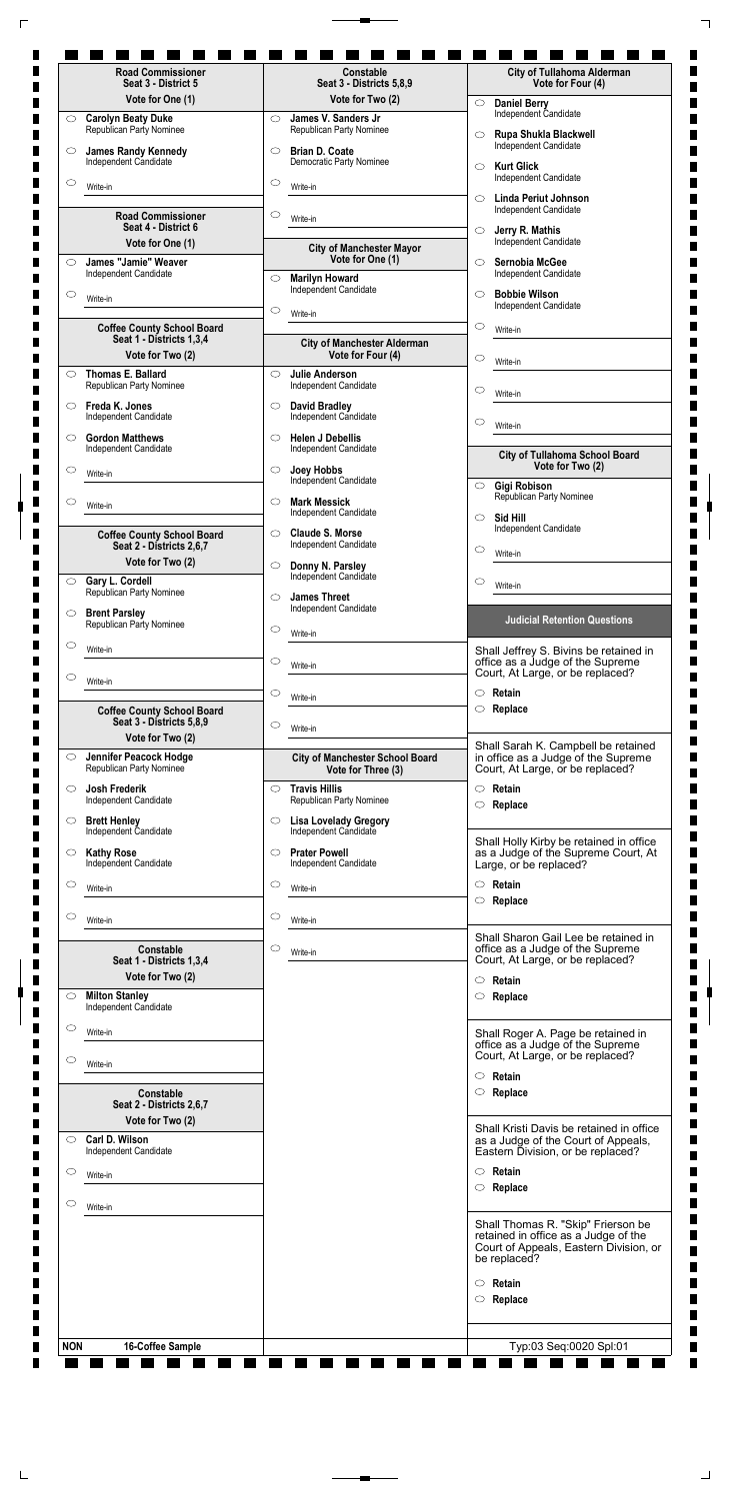| <b>Road Commissioner</b><br>Seat 3 - District 5                                   | <b>Constable</b><br>Seat 3 - Districts 5,8,9                     | <b>City of Tullahoma Alderman</b><br>Vote for Four (4)                                                         |
|-----------------------------------------------------------------------------------|------------------------------------------------------------------|----------------------------------------------------------------------------------------------------------------|
| Vote for One (1)                                                                  | Vote for Two (2)                                                 | <b>Daniel Berry</b><br>$\circ$<br>Independent Candidate                                                        |
| <b>Carolyn Beaty Duke</b><br>$\circ$<br>Republican Party Nominee                  | James V. Sanders Jr<br>◯<br>Republican Party Nominee             | Rupa Shukla Blackwell<br>$\circ$                                                                               |
| <b>James Randy Kennedy</b><br>O<br>Independent Candidate                          | <b>Brian D. Coate</b><br>O<br>Democratic Party Nominee           | Independent Candidate<br><b>Kurt Glick</b><br>$\circ$                                                          |
| $\circ$<br>Write-in                                                               | $\circ$<br>Write-in                                              | Independent Candidate<br><b>Linda Periut Johnson</b><br>◯                                                      |
| <b>Road Commissioner</b><br>Seat 4 - District 6                                   | O<br>Write-in                                                    | Independent Candidate<br>Jerry R. Mathis<br>$\circ$                                                            |
| Vote for One (1)<br>James "Jamie" Weaver<br>$\circ$                               | <b>City of Manchester Mayor</b><br>Vote for One (1)              | Independent Candidate<br><b>Sernobia McGee</b><br>$\circ$                                                      |
| Independent Candidate<br>$\circlearrowright$                                      | <b>Marilyn Howard</b><br>Independent Candidate                   | Independent Candidate<br><b>Bobbie Wilson</b><br>◯                                                             |
| Write-in                                                                          | $\circ$<br>Write-in                                              | Independent Candidate                                                                                          |
| <b>Coffee County School Board</b><br>Seat 1 - Districts 1,3,4<br>Vote for Two (2) | <b>City of Manchester Alderman</b><br>Vote for Four (4)          | $\circ$<br>Write-in<br>C                                                                                       |
| Thomas E. Ballard<br>$\circ$<br>Republican Party Nominee                          | <b>Julie Anderson</b><br>$\circ$<br>Independent Candidate        | Write-in<br>C                                                                                                  |
| Freda K. Jones<br>$\circ$<br>Independent Candidate                                | <b>David Bradley</b><br>$\circ$<br>Independent Candidate         | Write-in<br>C                                                                                                  |
| <b>Gordon Matthews</b><br>$\circlearrowright$<br>Independent Candidate            | <b>Helen J Debellis</b><br>O<br>Independent Candidate            | Write-in<br><b>City of Tullahoma School Board</b>                                                              |
| $\circlearrowright$<br>Write-in                                                   | Joey Hobbs<br>$\circ$<br>Independent Candidate                   | Vote for Two (2)<br><b>Gigi Robison</b><br>$\circ$                                                             |
| $\circlearrowright$<br>Write-in                                                   | <b>Mark Messick</b><br>$\circ$<br>Independent Candidate          | Republican Party Nominee<br>Sid Hill<br>$\circlearrowright$                                                    |
| <b>Coffee County School Board</b><br>Seat 2 - Districts 2,6,7                     | <b>Claude S. Morse</b><br>O<br>Independent Candidate             | Independent Candidate<br>$\bigcirc$<br>Write-in                                                                |
| Vote for Two (2)<br>Gary L. Cordell<br>$\circ$                                    | Donny N. Parsley<br>$\circ$<br>Independent Candidate             | O                                                                                                              |
| Republican Party Nominee<br>$\circ$ Brent Parsley                                 | <b>James Threet</b><br>O<br>Independent Candidate                | Write-in                                                                                                       |
| Republican Party Nominee                                                          | $\circ$<br>Write-in                                              | <b>Judicial Retention Questions</b>                                                                            |
| $\circ$<br>Write-in                                                               | $\circlearrowright$<br>Write-in                                  | Shall Jeffrey S. Bivins be retained in<br>office as a Judge of the Supreme<br>Court, At Large, or be replaced? |
| $\circ$<br>Write-in                                                               | $\circ$<br>Write-in                                              | Retain<br>$\circ$                                                                                              |
| <b>Coffee County School Board</b><br>Seat 3 - Districts 5,8,9<br>Vote for Two (2) | O<br>Write-in                                                    | $\circ$<br>Replace                                                                                             |
| Jennifer Peacock Hodge<br>$\circ$<br>Republican Party Nominee                     | <b>City of Manchester School Board</b><br>Vote for Three (3)     | Shall Sarah K. Campbell be retained<br>in office as a Judge of the Supreme<br>Court, At Large, or be replaced? |
| <b>Josh Frederik</b><br>$\circ$<br>Independent Candidate                          | <b>Travis Hillis</b><br>$\circ$<br>Republican Party Nominee      | $\circ$ Retain<br>$\circ$<br>Replace                                                                           |
| <b>Brett Henley</b><br>$\circ$<br>Independent Candidate                           | <b>Lisa Lovelady Gregory</b><br>$\circ$<br>Independent Candidate |                                                                                                                |
| <b>Kathy Rose</b><br>$\circ$<br>Independent Candidate                             | <b>Prater Powell</b><br>Independent Candidate                    | Shall Holly Kirby be retained in office<br>as a Judge of the Supreme Court, At<br>Large, or be replaced?       |
| $\circlearrowright$<br>Write-in                                                   | O<br>Write-in                                                    | $\circ$ Retain<br>$\heartsuit$ Replace                                                                         |
| $\circ$<br>Write-in                                                               | O<br>Write-in                                                    |                                                                                                                |
| <b>Constable</b><br>Seat 1 - Districts 1,3,4                                      | O<br>Write-in                                                    | Shall Sharon Gail Lee be retained in<br>office as a Judge of the Supreme<br>Court, At Large, or be replaced?   |

 $\vert$ 

 $\Box$ 

 $\overline{\Gamma}$ 

 $\overline{\phantom{a}}$ 

| Retain<br>$\circ$                                                                                                                    |
|--------------------------------------------------------------------------------------------------------------------------------------|
|                                                                                                                                      |
| $\circ$ Replace                                                                                                                      |
| Shall Kristi Davis be retained in office                                                                                             |
| as a Judge of the Court of Appeals,<br>Eastern Division, or be replaced?                                                             |
| Retain<br>$\circ$                                                                                                                    |
| $\circ$ Replace                                                                                                                      |
|                                                                                                                                      |
| Shall Thomas R. "Skip" Frierson be<br>retained in office as a Judge of the<br>Court of Appeals, Eastern Division, or<br>be replaced? |
| Retain<br>$\circ$                                                                                                                    |
| Replace<br>$\circ$                                                                                                                   |
| Typ:03 Seq:0020 Spl:01                                                                                                               |
|                                                                                                                                      |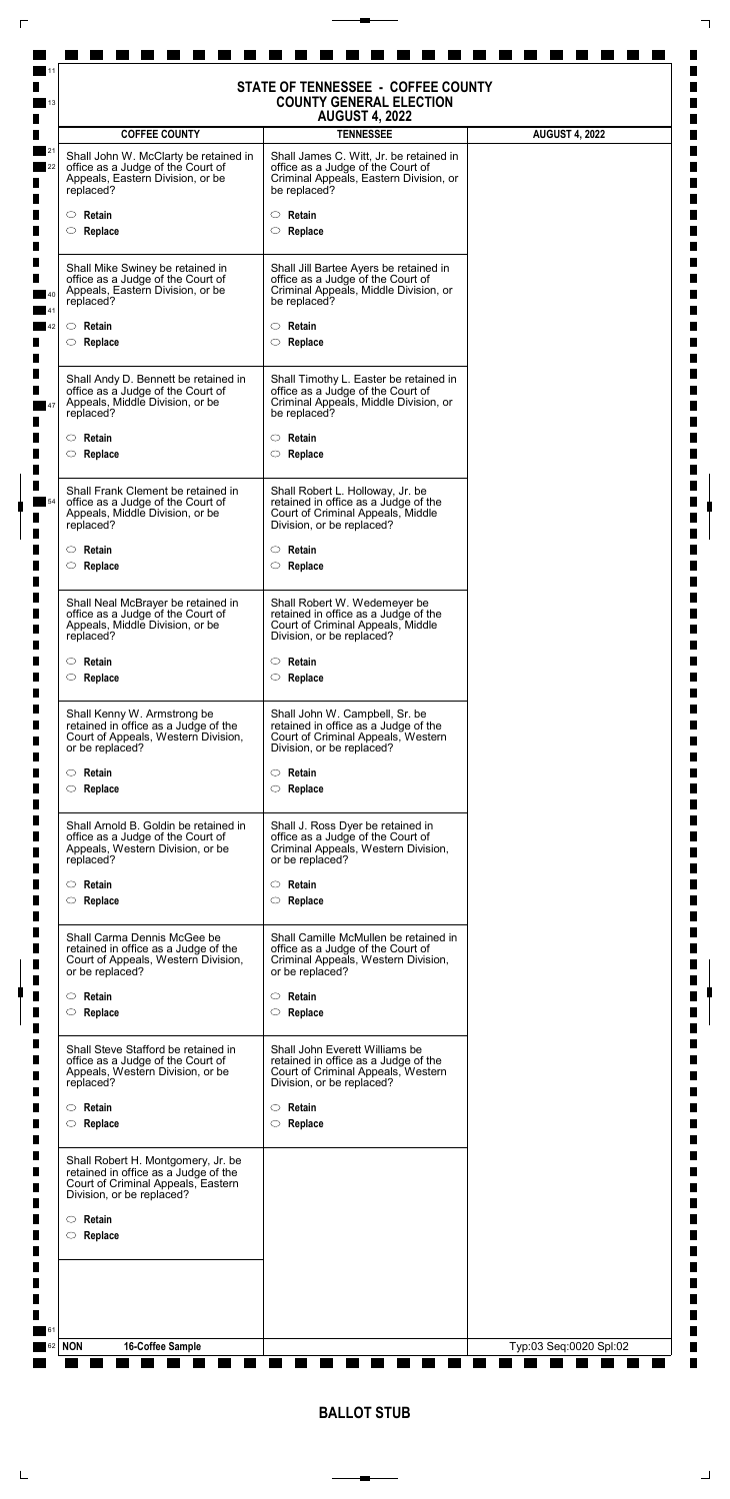**BALLOT STUB**

| STATE OF TENNESSEE - COFFEE COUNTY<br><b>COUNTY GENERAL ELECTION</b><br><b>AUGUST 4, 2022</b>                                 |                                                                                                                                            |                       |  |  |  |
|-------------------------------------------------------------------------------------------------------------------------------|--------------------------------------------------------------------------------------------------------------------------------------------|-----------------------|--|--|--|
| <b>COFFEE COUNTY</b>                                                                                                          | <b>TENNESSEE</b>                                                                                                                           | <b>AUGUST 4, 2022</b> |  |  |  |
| Shall John W. McClarty be retained in<br>office as a Judge of the Court of<br>Appeals, Eastern Division, or be<br>replaced?   | Shall James C. Witt, Jr. be retained in<br>office as a Judge of the Court of<br>Criminal Appeals, Eastern Division, or<br>be replaced?     |                       |  |  |  |
| $\circ$ Retain<br>Replace                                                                                                     | Retain<br>O<br>Replace                                                                                                                     |                       |  |  |  |
|                                                                                                                               |                                                                                                                                            |                       |  |  |  |
| Shall Mike Swiney be retained in<br>office as a Judge of the Court of<br>Appeals, Eastern Division, or be<br>replaced?        | Shall Jill Bartee Ayers be retained in<br>office as a Judge of the Court of<br>Criminal Appeals, Middle Division, or<br>be replaced?       |                       |  |  |  |
| $\circ$ Retain<br>$\heartsuit$ Replace                                                                                        | <b>Retain</b><br>O<br>Replace                                                                                                              |                       |  |  |  |
| Shall Andy D. Bennett be retained in<br>office as a Judge of the Court of<br>Appeals, Middle Division, or be<br>replaced?     | Shall Timothy L. Easter be retained in<br>office as a Judge of the Court of<br>Criminal Appeals, Middle Division, or<br>be replaced?       |                       |  |  |  |
| Retain<br>$\circ$<br>$\circ$ Replace                                                                                          | Retain<br>O<br>Replace<br>$\circ$                                                                                                          |                       |  |  |  |
| Shall Frank Clement be retained in<br>office as a Judge of the Court of<br>Appeals, Middle Division, or be<br>replaced?       | Shall Robert L. Holloway, Jr. be<br>retained in office as a Judge of the<br>Court of Criminal Appeals, Middle<br>Division, or be replaced? |                       |  |  |  |
| $\circ$ Retain<br>$\heartsuit$ Replace                                                                                        | Retain<br>$\circ$<br>Replace<br>$\circ$                                                                                                    |                       |  |  |  |
| Shall Neal McBrayer be retained in<br>office as a Judge of the Court of<br>Appeals, Middle Division, or be<br>replaced?       | Shall Robert W. Wedemeyer be<br>retained in office as a Judge of the<br>Court of Criminal Appeals, Middle<br>Division, or be replaced?     |                       |  |  |  |
| Retain<br>$\circ$<br>$\circ$ Replace                                                                                          | <b>Retain</b><br>O<br>Replace<br>$\circ$                                                                                                   |                       |  |  |  |
| Shall Kenny W. Armstrong be<br>retained in office as a Judge of the<br>Court of Appeals, Western Division,<br>or be replaced? | Shall John W. Campbell, Sr. be<br>retained in office as a Judge of the<br>Court of Criminal Appeals, Western<br>Division, or be replaced?  |                       |  |  |  |
| $\circ$ Retain<br>$\circ$ Replace                                                                                             | Retain<br>$\circ$<br>Replace<br>O                                                                                                          |                       |  |  |  |
| Shall Arnold B. Goldin be retained in<br>office as a Judge of the Court of<br>Appeals, Western Division, or be<br>replaced?   | Shall J. Ross Dyer be retained in<br>office as a Judge of the Court of<br>Criminal Appeals, Western Division,<br>or be replaced?           |                       |  |  |  |
| $\circ$ Retain<br>$\circ$ Replace                                                                                             | Retain<br>$\circ$<br>Replace<br>$\circ$                                                                                                    |                       |  |  |  |
| Shall Carma Dennis McGee be<br>retained in office as a Judge of the<br>Court of Appeals, Western Division,<br>or be replaced? | Shall Camille McMullen be retained in<br>office as a Judge of the Court of<br>Criminal Appeals, Western Division,<br>or be replaced?       |                       |  |  |  |

٦

 $\sqcup$ 

 $\overline{\Gamma}$ 

 $\mathbf{I}$ 

 $\overline{\mathsf{L}}$ 

| $\circ$<br>Replace                                                                                                           | $\circ$<br>Replace                                                                                                                        |  |
|------------------------------------------------------------------------------------------------------------------------------|-------------------------------------------------------------------------------------------------------------------------------------------|--|
| Shall Steve Stafford be retained in<br>office as a Judge of the Court of<br>Appeals, Western Division, or be<br>replaced?    | Shall John Everett Williams be<br>retained in office as a Judge of the<br>Court of Criminal Appeals, Western<br>Division, or be replaced? |  |
| Retain<br>$\circ$                                                                                                            | Retain<br>$\circlearrowright$                                                                                                             |  |
| $\heartsuit$ Replace                                                                                                         | Replace<br>$\circlearrowright$                                                                                                            |  |
| retained in office as a Judge of the<br>Court of Criminal Appeals, Eastern<br>Division, or be replaced?<br>Retain<br>$\circ$ |                                                                                                                                           |  |
| Replace<br>$\circ$                                                                                                           |                                                                                                                                           |  |
|                                                                                                                              |                                                                                                                                           |  |
|                                                                                                                              |                                                                                                                                           |  |
|                                                                                                                              |                                                                                                                                           |  |
|                                                                                                                              |                                                                                                                                           |  |